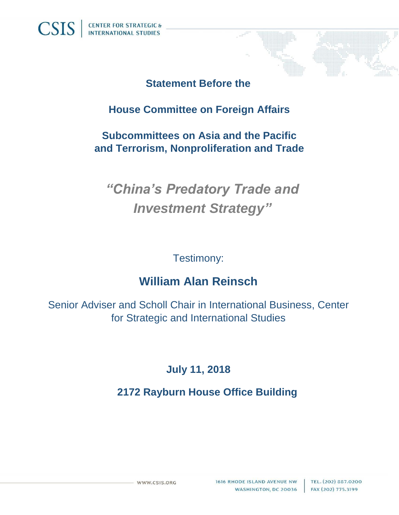#### **Statement Before the**

## **House Committee on Foreign Affairs**

### **Subcommittees on Asia and the Pacific and Terrorism, Nonproliferation and Trade**

# *"China's Predatory Trade and Investment Strategy"*

#### Testimony:

# **William Alan Reinsch**

Senior Adviser and Scholl Chair in International Business, Center for Strategic and International Studies

## **July 11, 2018**

## **2172 Rayburn House Office Building**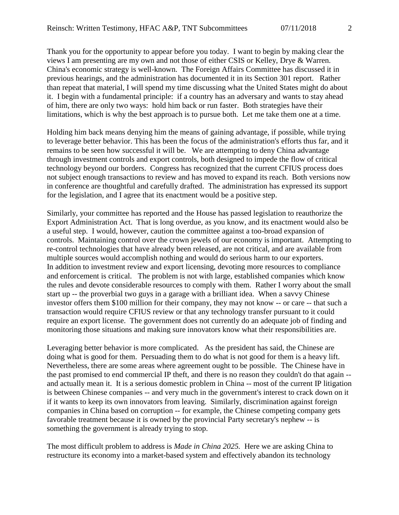Thank you for the opportunity to appear before you today. I want to begin by making clear the views I am presenting are my own and not those of either CSIS or Kelley, Drye & Warren. China's economic strategy is well-known. The Foreign Affairs Committee has discussed it in previous hearings, and the administration has documented it in its Section 301 report. Rather than repeat that material, I will spend my time discussing what the United States might do about it. I begin with a fundamental principle: if a country has an adversary and wants to stay ahead of him, there are only two ways: hold him back or run faster. Both strategies have their limitations, which is why the best approach is to pursue both. Let me take them one at a time.

Holding him back means denying him the means of gaining advantage, if possible, while trying to leverage better behavior. This has been the focus of the administration's efforts thus far, and it remains to be seen how successful it will be. We are attempting to deny China advantage through investment controls and export controls, both designed to impede the flow of critical technology beyond our borders. Congress has recognized that the current CFIUS process does not subject enough transactions to review and has moved to expand its reach. Both versions now in conference are thoughtful and carefully drafted. The administration has expressed its support for the legislation, and I agree that its enactment would be a positive step.

Similarly, your committee has reported and the House has passed legislation to reauthorize the Export Administration Act. That is long overdue, as you know, and its enactment would also be a useful step. I would, however, caution the committee against a too-broad expansion of controls. Maintaining control over the crown jewels of our economy is important. Attempting to re-control technologies that have already been released, are not critical, and are available from multiple sources would accomplish nothing and would do serious harm to our exporters. In addition to investment review and export licensing, devoting more resources to compliance and enforcement is critical. The problem is not with large, established companies which know the rules and devote considerable resources to comply with them. Rather I worry about the small start up -- the proverbial two guys in a garage with a brilliant idea. When a savvy Chinese investor offers them \$100 million for their company, they may not know -- or care -- that such a transaction would require CFIUS review or that any technology transfer pursuant to it could require an export license. The government does not currently do an adequate job of finding and monitoring those situations and making sure innovators know what their responsibilities are.

Leveraging better behavior is more complicated. As the president has said, the Chinese are doing what is good for them. Persuading them to do what is not good for them is a heavy lift. Nevertheless, there are some areas where agreement ought to be possible. The Chinese have in the past promised to end commercial IP theft, and there is no reason they couldn't do that again - and actually mean it. It is a serious domestic problem in China -- most of the current IP litigation is between Chinese companies -- and very much in the government's interest to crack down on it if it wants to keep its own innovators from leaving. Similarly, discrimination against foreign companies in China based on corruption -- for example, the Chinese competing company gets favorable treatment because it is owned by the provincial Party secretary's nephew -- is something the government is already trying to stop.

The most difficult problem to address is *Made in China 2025.* Here we are asking China to restructure its economy into a market-based system and effectively abandon its technology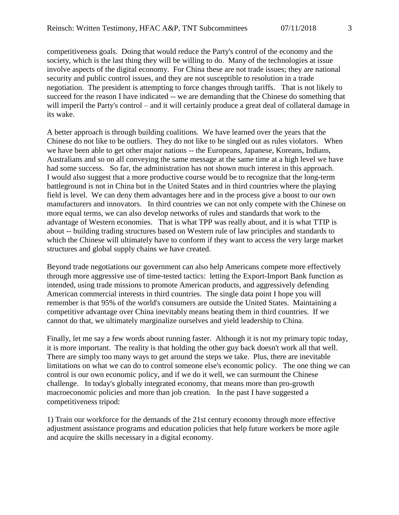competitiveness goals. Doing that would reduce the Party's control of the economy and the society, which is the last thing they will be willing to do. Many of the technologies at issue involve aspects of the digital economy. For China these are not trade issues; they are national security and public control issues, and they are not susceptible to resolution in a trade negotiation. The president is attempting to force changes through tariffs. That is not likely to succeed for the reason I have indicated -- we are demanding that the Chinese do something that will imperil the Party's control – and it will certainly produce a great deal of collateral damage in its wake.

A better approach is through building coalitions. We have learned over the years that the Chinese do not like to be outliers. They do not like to be singled out as rules violators. When we have been able to get other major nations -- the Europeans, Japanese, Koreans, Indians, Australians and so on all conveying the same message at the same time at a high level we have had some success. So far, the administration has not shown much interest in this approach. I would also suggest that a more productive course would be to recognize that the long-term battleground is not in China but in the United States and in third countries where the playing field is level. We can deny them advantages here and in the process give a boost to our own manufacturers and innovators. In third countries we can not only compete with the Chinese on more equal terms, we can also develop networks of rules and standards that work to the advantage of Western economies. That is what TPP was really about, and it is what TTIP is about -- building trading structures based on Western rule of law principles and standards to which the Chinese will ultimately have to conform if they want to access the very large market structures and global supply chains we have created.

Beyond trade negotiations our government can also help Americans compete more effectively through more aggressive use of time-tested tactics: letting the Export-Import Bank function as intended, using trade missions to promote American products, and aggressively defending American commercial interests in third countries. The single data point I hope you will remember is that 95% of the world's consumers are outside the United States. Maintaining a competitive advantage over China inevitably means beating them in third countries. If we cannot do that, we ultimately marginalize ourselves and yield leadership to China.

Finally, let me say a few words about running faster. Although it is not my primary topic today, it is more important. The reality is that holding the other guy back doesn't work all that well. There are simply too many ways to get around the steps we take. Plus, there are inevitable limitations on what we can do to control someone else's economic policy. The one thing we can control is our own economic policy, and if we do it well, we can surmount the Chinese challenge. In today's globally integrated economy, that means more than pro-growth macroeconomic policies and more than job creation. In the past I have suggested a competitiveness tripod:

1) Train our workforce for the demands of the 21st century economy through more effective adjustment assistance programs and education policies that help future workers be more agile and acquire the skills necessary in a digital economy.